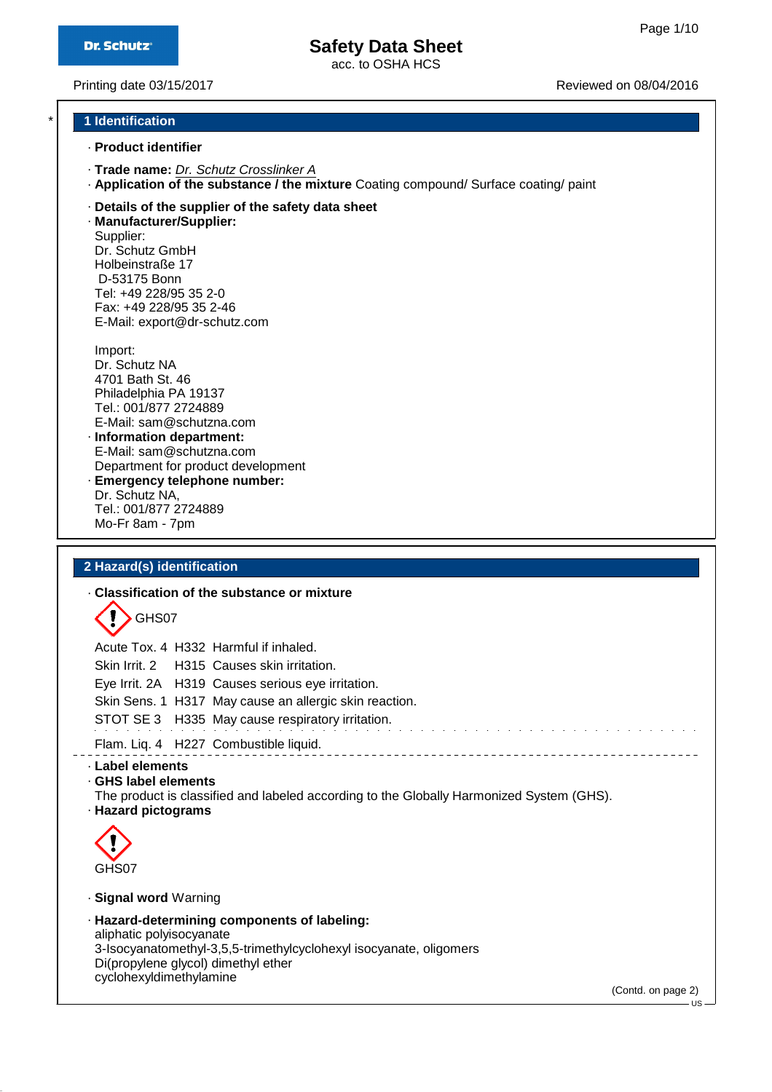acc. to OSHA HCS

Printing date 03/15/2017 **Printing date 03/15/2017** Reviewed on 08/04/2016

# \* **1 Identification**

- · **Product identifier**
- · **Trade name:** Dr. Schutz Crosslinker A
- · **Application of the substance / the mixture** Coating compound/ Surface coating/ paint
- · **Details of the supplier of the safety data sheet**

· **Manufacturer/Supplier:** Supplier: Dr. Schutz GmbH Holbeinstraße 17 D-53175 Bonn Tel: +49 228/95 35 2-0 Fax: +49 228/95 35 2-46 E-Mail: export@dr-schutz.com

Import: Dr. Schutz NA 4701 Bath St. 46 Philadelphia PA 19137 Tel.: 001/877 2724889 E-Mail: sam@schutzna.com · **Information department:**

- E-Mail: sam@schutzna.com Department for product development · **Emergency telephone number:**
- Dr. Schutz NA, Tel.: 001/877 2724889 Mo-Fr 8am - 7pm

#### **2 Hazard(s) identification**

#### · **Classification of the substance or mixture**



Acute Tox. 4 H332 Harmful if inhaled. Skin Irrit. 2 H315 Causes skin irritation. Eye Irrit. 2A H319 Causes serious eye irritation. Skin Sens. 1 H317 May cause an allergic skin reaction. STOT SE 3 H335 May cause respiratory irritation.

Flam. Liq. 4 H227 Combustible liquid.

#### · **Label elements**

· **GHS label elements**

The product is classified and labeled according to the Globally Harmonized System (GHS).

· **Hazard pictograms**



#### · **Signal word** Warning

· **Hazard-determining components of labeling:** aliphatic polyisocyanate 3-Isocyanatomethyl-3,5,5-trimethylcyclohexyl isocyanate, oligomers Di(propylene glycol) dimethyl ether cyclohexyldimethylamine

(Contd. on page 2)

US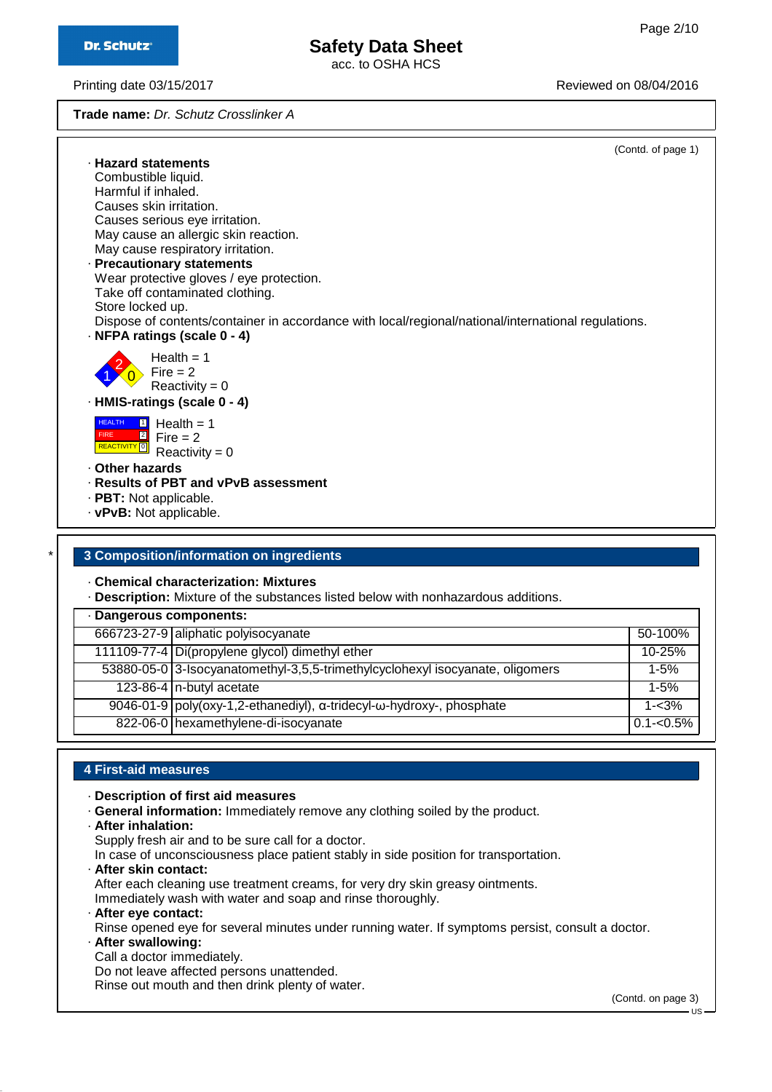acc. to OSHA HCS

Printing date 03/15/2017 **Printing date 03/15/2017** Reviewed on 08/04/2016

**Trade name:** Dr. Schutz Crosslinker A

|   | (Contd. of page 1)                                                                                                                      |  |
|---|-----------------------------------------------------------------------------------------------------------------------------------------|--|
|   | · Hazard statements                                                                                                                     |  |
|   | Combustible liquid.                                                                                                                     |  |
|   | Harmful if inhaled.                                                                                                                     |  |
|   | Causes skin irritation.                                                                                                                 |  |
|   | Causes serious eye irritation.                                                                                                          |  |
|   | May cause an allergic skin reaction.                                                                                                    |  |
|   | May cause respiratory irritation.                                                                                                       |  |
|   | · Precautionary statements                                                                                                              |  |
|   | Wear protective gloves / eye protection.                                                                                                |  |
|   | Take off contaminated clothing.                                                                                                         |  |
|   | Store locked up.                                                                                                                        |  |
|   | Dispose of contents/container in accordance with local/regional/national/international regulations.                                     |  |
|   | · NFPA ratings (scale 0 - 4)                                                                                                            |  |
|   | Health $= 1$<br>Fire $= 2$<br>Reactivity = $0$                                                                                          |  |
|   | · HMIS-ratings (scale 0 - 4)                                                                                                            |  |
|   | <b>HEALTH</b><br>Health $= 1$<br>$\boxed{1}$<br>$\boxed{2}$<br><b>FIRE</b><br>Fire $= 2$<br>REACTIVITY <sup>O</sup><br>Reactivity = $0$ |  |
|   | . Other hazards                                                                                                                         |  |
|   | · Results of PBT and vPvB assessment                                                                                                    |  |
|   |                                                                                                                                         |  |
|   | $\cdot$ PBT: Not applicable.<br>· vPvB: Not applicable.                                                                                 |  |
|   |                                                                                                                                         |  |
|   |                                                                                                                                         |  |
| * | 3 Composition/information on ingredients                                                                                                |  |

# · **Chemical characterization: Mixtures**

· **Description:** Mixture of the substances listed below with nonhazardous additions.

| · Dangerous components: |                                                                               |               |  |
|-------------------------|-------------------------------------------------------------------------------|---------------|--|
|                         | 666723-27-9 aliphatic polyisocyanate                                          | $50-100%$     |  |
|                         | 111109-77-4 Di(propylene glycol) dimethyl ether                               | $10 - 25%$    |  |
|                         | 53880-05-0 3-Isocyanatomethyl-3,5,5-trimethylcyclohexyl isocyanate, oligomers | $1 - 5%$      |  |
|                         | 123-86-4 n-butyl acetate                                                      | $1 - 5%$      |  |
|                         | 9046-01-9   poly(oxy-1,2-ethanediyl), α-tridecyl-ω-hydroxy-, phosphate        | $1 - 3\%$     |  |
|                         | 822-06-0 hexamethylene-di-isocyanate                                          | $0.1 - 0.5\%$ |  |

### **4 First-aid measures**

- · **Description of first aid measures**
- · **General information:** Immediately remove any clothing soiled by the product.
- · **After inhalation:**
- Supply fresh air and to be sure call for a doctor.
- In case of unconsciousness place patient stably in side position for transportation.
- · **After skin contact:**

After each cleaning use treatment creams, for very dry skin greasy ointments. Immediately wash with water and soap and rinse thoroughly.

- · **After eye contact:**
- Rinse opened eye for several minutes under running water. If symptoms persist, consult a doctor.
- · **After swallowing:**
- Call a doctor immediately.

Do not leave affected persons unattended.

Rinse out mouth and then drink plenty of water.

(Contd. on page 3)

US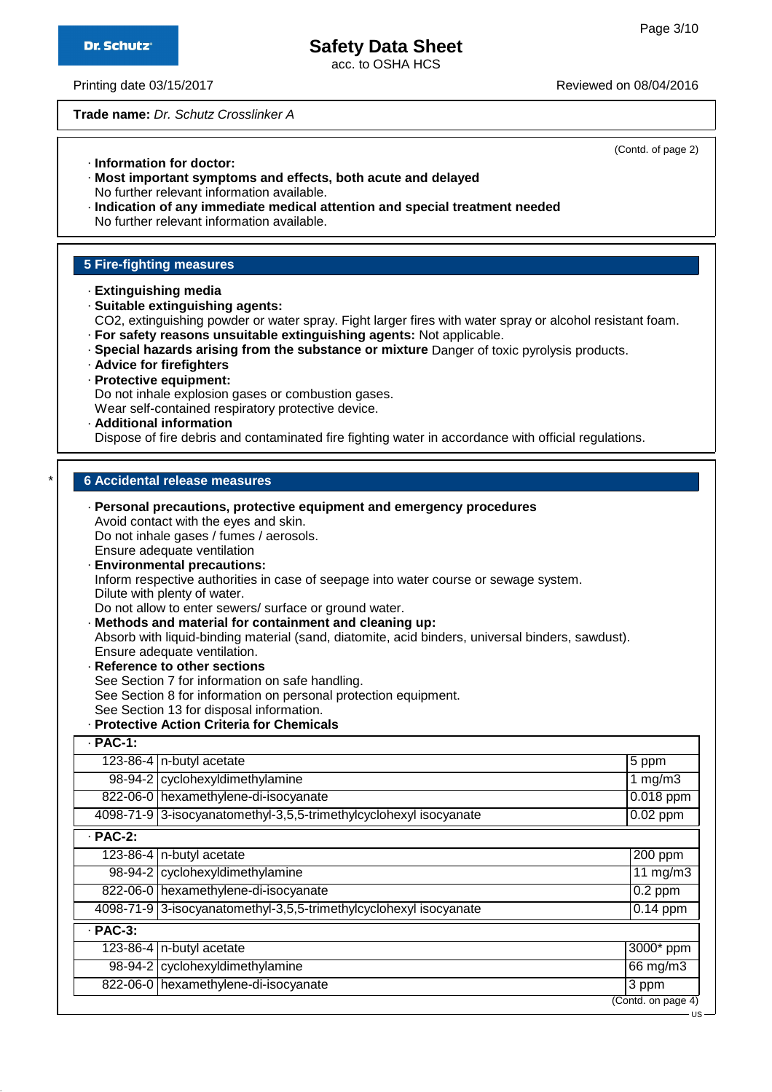acc. to OSHA HCS

Printing date 03/15/2017 **Printing date 03/15/2017** Reviewed on 08/04/2016

**Trade name:** Dr. Schutz Crosslinker A

|                                                                   |                                                                                                                                                                                                                                                                                                                                                                                                                                                                                                                                                                                                                                                                                               | (Contd. of page 2) |  |
|-------------------------------------------------------------------|-----------------------------------------------------------------------------------------------------------------------------------------------------------------------------------------------------------------------------------------------------------------------------------------------------------------------------------------------------------------------------------------------------------------------------------------------------------------------------------------------------------------------------------------------------------------------------------------------------------------------------------------------------------------------------------------------|--------------------|--|
|                                                                   | · Information for doctor:<br>· Most important symptoms and effects, both acute and delayed<br>No further relevant information available.<br>· Indication of any immediate medical attention and special treatment needed                                                                                                                                                                                                                                                                                                                                                                                                                                                                      |                    |  |
| No further relevant information available.                        |                                                                                                                                                                                                                                                                                                                                                                                                                                                                                                                                                                                                                                                                                               |                    |  |
|                                                                   |                                                                                                                                                                                                                                                                                                                                                                                                                                                                                                                                                                                                                                                                                               |                    |  |
| <b>5 Fire-fighting measures</b>                                   |                                                                                                                                                                                                                                                                                                                                                                                                                                                                                                                                                                                                                                                                                               |                    |  |
|                                                                   | · Extinguishing media<br>· Suitable extinguishing agents:<br>CO2, extinguishing powder or water spray. Fight larger fires with water spray or alcohol resistant foam.<br>· For safety reasons unsuitable extinguishing agents: Not applicable.<br>· Special hazards arising from the substance or mixture Danger of toxic pyrolysis products.<br>· Advice for firefighters<br>· Protective equipment:<br>Do not inhale explosion gases or combustion gases.<br>Wear self-contained respiratory protective device.<br>· Additional information<br>Dispose of fire debris and contaminated fire fighting water in accordance with official regulations.                                         |                    |  |
|                                                                   |                                                                                                                                                                                                                                                                                                                                                                                                                                                                                                                                                                                                                                                                                               |                    |  |
|                                                                   | <b>6 Accidental release measures</b>                                                                                                                                                                                                                                                                                                                                                                                                                                                                                                                                                                                                                                                          |                    |  |
|                                                                   | Ensure adequate ventilation<br>· Environmental precautions:<br>Inform respective authorities in case of seepage into water course or sewage system.<br>Dilute with plenty of water.<br>Do not allow to enter sewers/ surface or ground water.<br>· Methods and material for containment and cleaning up:<br>Absorb with liquid-binding material (sand, diatomite, acid binders, universal binders, sawdust).<br>Ensure adequate ventilation.<br>· Reference to other sections<br>See Section 7 for information on safe handling.<br>See Section 8 for information on personal protection equipment.<br>See Section 13 for disposal information.<br>· Protective Action Criteria for Chemicals |                    |  |
| $·$ PAC-1:                                                        |                                                                                                                                                                                                                                                                                                                                                                                                                                                                                                                                                                                                                                                                                               |                    |  |
|                                                                   | 123-86-4 $n$ -butyl acetate                                                                                                                                                                                                                                                                                                                                                                                                                                                                                                                                                                                                                                                                   | 5 ppm              |  |
|                                                                   | 98-94-2 cyclohexyldimethylamine                                                                                                                                                                                                                                                                                                                                                                                                                                                                                                                                                                                                                                                               | 1 mg/m3            |  |
|                                                                   | 822-06-0 hexamethylene-di-isocyanate                                                                                                                                                                                                                                                                                                                                                                                                                                                                                                                                                                                                                                                          | $0.018$ ppm        |  |
|                                                                   | 4098-71-9 3-isocyanatomethyl-3,5,5-trimethylcyclohexyl isocyanate                                                                                                                                                                                                                                                                                                                                                                                                                                                                                                                                                                                                                             | $0.02$ ppm         |  |
| $·$ PAC-2:<br>123-86-4 $n$ -butyl acetate                         |                                                                                                                                                                                                                                                                                                                                                                                                                                                                                                                                                                                                                                                                                               |                    |  |
|                                                                   |                                                                                                                                                                                                                                                                                                                                                                                                                                                                                                                                                                                                                                                                                               | 200 ppm            |  |
|                                                                   | 98-94-2 cyclohexyldimethylamine                                                                                                                                                                                                                                                                                                                                                                                                                                                                                                                                                                                                                                                               | $11 \text{ mg/m}$  |  |
|                                                                   | 822-06-0 hexamethylene-di-isocyanate                                                                                                                                                                                                                                                                                                                                                                                                                                                                                                                                                                                                                                                          | $0.2$ ppm          |  |
| 4098-71-9 3-isocyanatomethyl-3,5,5-trimethylcyclohexyl isocyanate |                                                                                                                                                                                                                                                                                                                                                                                                                                                                                                                                                                                                                                                                                               | $0.14$ ppm         |  |
| $·$ PAC-3:                                                        |                                                                                                                                                                                                                                                                                                                                                                                                                                                                                                                                                                                                                                                                                               |                    |  |
|                                                                   | 123-86-4 $n$ -butyl acetate                                                                                                                                                                                                                                                                                                                                                                                                                                                                                                                                                                                                                                                                   | 3000* ppm          |  |
|                                                                   | 98-94-2 cyclohexyldimethylamine                                                                                                                                                                                                                                                                                                                                                                                                                                                                                                                                                                                                                                                               | 66 mg/m3           |  |
|                                                                   | 822-06-0 hexamethylene-di-isocyanate                                                                                                                                                                                                                                                                                                                                                                                                                                                                                                                                                                                                                                                          | 3 ppm              |  |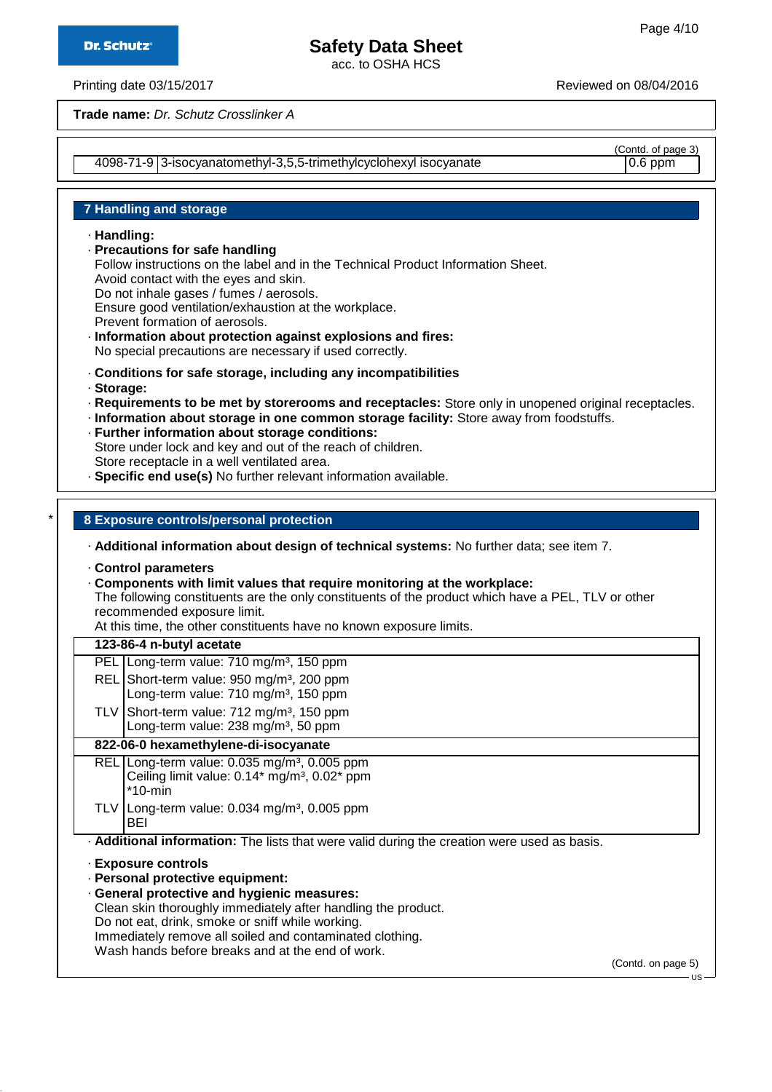acc. to OSHA HCS

Printing date 03/15/2017 Reviewed on 08/04/2016

**Trade name:** Dr. Schutz Crosslinker A

4098-71-9 3-isocyanatomethyl-3,5,5-trimethylcyclohexyl isocyanate 0.6 ppm

(Contd. of page 3)

### **7 Handling and storage**

· **Handling:**

- · **Precautions for safe handling**
- Follow instructions on the label and in the Technical Product Information Sheet. Avoid contact with the eyes and skin.
- Do not inhale gases / fumes / aerosols.

Ensure good ventilation/exhaustion at the workplace.

Prevent formation of aerosols.

· **Information about protection against explosions and fires:**

No special precautions are necessary if used correctly.

- · **Conditions for safe storage, including any incompatibilities**
- · **Storage:**
- · **Requirements to be met by storerooms and receptacles:** Store only in unopened original receptacles.
- · **Information about storage in one common storage facility:** Store away from foodstuffs.
- · **Further information about storage conditions:** Store under lock and key and out of the reach of children.
- 
- Store receptacle in a well ventilated area.
- · **Specific end use(s)** No further relevant information available.

### \* **8 Exposure controls/personal protection**

· **Additional information about design of technical systems:** No further data; see item 7.

- · **Control parameters**
- · **Components with limit values that require monitoring at the workplace:**

The following constituents are the only constituents of the product which have a PEL, TLV or other recommended exposure limit.

At this time, the other constituents have no known exposure limits.

#### **123-86-4 n-butyl acetate**

| PEL Long-term value: 710 mg/m <sup>3</sup> , 150 ppm                                                      |
|-----------------------------------------------------------------------------------------------------------|
|                                                                                                           |
| REL Short-term value: 950 mg/m <sup>3</sup> , 200 ppm<br>Long-term value: 710 mg/m <sup>3</sup> , 150 ppm |

TLV Short-term value:  $712 \text{ mg/m}^3$ , 150 ppm Long-term value: 238 mg/m<sup>3</sup>, 50 ppm

### **822-06-0 hexamethylene-di-isocyanate**

REL Long-term value: 0.035 mg/m<sup>3</sup>, 0.005 ppm Ceiling limit value: 0.14\* mg/m<sup>3</sup>, 0.02\* ppm \*10-min

- TLV Long-term value:  $0.034$  mg/m<sup>3</sup>,  $0.005$  ppm BEI
- · **Additional information:** The lists that were valid during the creation were used as basis.
- · **Exposure controls**
- · **Personal protective equipment:**
- · **General protective and hygienic measures:** Clean skin thoroughly immediately after handling the product. Do not eat, drink, smoke or sniff while working. Immediately remove all soiled and contaminated clothing. Wash hands before breaks and at the end of work.

(Contd. on page 5)

 $\overline{11}$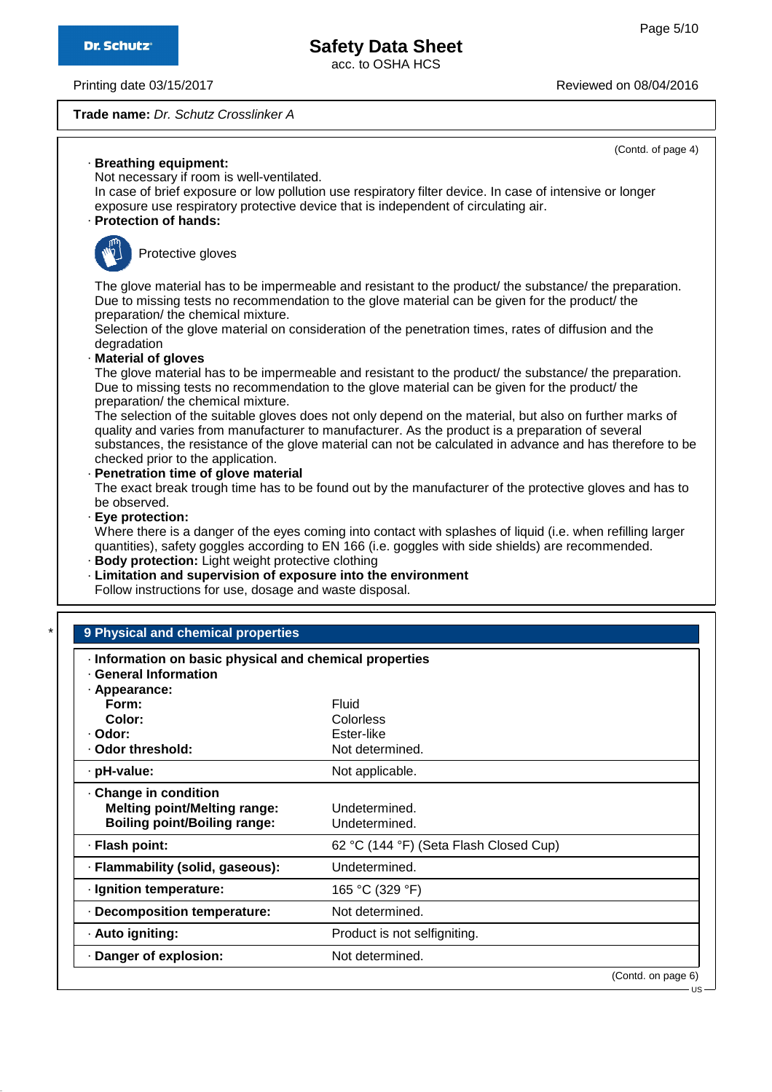(Contd. of page 4)

# **Safety Data Sheet**

acc. to OSHA HCS

Printing date 03/15/2017 **Printing date 03/15/2017** Reviewed on 08/04/2016

**Trade name:** Dr. Schutz Crosslinker A

| lloves                                                                                                                                                                                |                                                                                                                                                                                                                                                             |  |  |  |
|---------------------------------------------------------------------------------------------------------------------------------------------------------------------------------------|-------------------------------------------------------------------------------------------------------------------------------------------------------------------------------------------------------------------------------------------------------------|--|--|--|
| has to be impermeable and resistant to the product/ the substance/ the preparation.<br>s no recommendation to the glove material can be given for the product/ the<br>emical mixture. |                                                                                                                                                                                                                                                             |  |  |  |
|                                                                                                                                                                                       | ve material on consideration of the penetration times, rates of diffusion and the                                                                                                                                                                           |  |  |  |
| emical mixture.                                                                                                                                                                       | has to be impermeable and resistant to the product/ the substance/ the preparation.<br>s no recommendation to the glove material can be given for the product/ the                                                                                          |  |  |  |
| application.                                                                                                                                                                          | suitable gloves does not only depend on the material, but also on further marks of<br>om manufacturer to manufacturer. As the product is a preparation of several<br>istance of the glove material can not be calculated in advance and has therefore to be |  |  |  |
| of glove material                                                                                                                                                                     | ugh time has to be found out by the manufacturer of the protective gloves and has to                                                                                                                                                                        |  |  |  |
| ight weight protective clothing<br>for use, dosage and waste disposal.                                                                                                                | anger of the eyes coming into contact with splashes of liquid (i.e. when refilling larger<br>loggles according to EN 166 (i.e. goggles with side shields) are recommended.<br>bervision of exposure into the environment                                    |  |  |  |
|                                                                                                                                                                                       |                                                                                                                                                                                                                                                             |  |  |  |
| nical properties                                                                                                                                                                      |                                                                                                                                                                                                                                                             |  |  |  |
| sic physical and chemical properties<br>5n                                                                                                                                            |                                                                                                                                                                                                                                                             |  |  |  |
|                                                                                                                                                                                       | Fluid                                                                                                                                                                                                                                                       |  |  |  |
|                                                                                                                                                                                       | Colorless<br>Ester-like                                                                                                                                                                                                                                     |  |  |  |
|                                                                                                                                                                                       | Not determined.                                                                                                                                                                                                                                             |  |  |  |
|                                                                                                                                                                                       | Not applicable.                                                                                                                                                                                                                                             |  |  |  |
| on                                                                                                                                                                                    |                                                                                                                                                                                                                                                             |  |  |  |
| elting range:<br>iling range:                                                                                                                                                         | Undetermined.<br>Undetermined.                                                                                                                                                                                                                              |  |  |  |
|                                                                                                                                                                                       | (11.10)<br>er all<br>$\sim$ $\sim$ $\sim$<br>$\sim$                                                                                                                                                                                                         |  |  |  |

### · **Breathing equipment:**

Not necessary if room is well-ventilated.

In case of brief exposure or low pollution use respiratory filter device. In case of intensive or longer exposure use respiratory protective device that is independent of circulating air.

## · **Protection of hands:**



Protective g

The glove material Due to missing tests preparation/ the chemical mixture.

Selection of the glove material on consideration of the penetration times, rates of diffusion and the degradation

# · **Material of gloves**

The glove material Due to missing tests preparation/ the che

The selection of the quality and varies from substances, the res checked prior to the

· **Penetration time of glove material** The exact break tro be observed.

#### · **Eye protection:**

Where there is a da quantities), safety go

# $\cdot$  **Body protection:** L

**Limitation and sup** Follow instructions

# **9 Physical and chen**

| Information on basic physical and chemical properties<br><b>General Information</b>               |                                        |                                        |  |
|---------------------------------------------------------------------------------------------------|----------------------------------------|----------------------------------------|--|
| · Appearance:                                                                                     |                                        |                                        |  |
| Form:                                                                                             | Fluid                                  |                                        |  |
| Color:                                                                                            | Colorless                              |                                        |  |
| · Odor:                                                                                           | Ester-like                             |                                        |  |
| · Odor threshold:                                                                                 | Not determined.                        |                                        |  |
| · pH-value:                                                                                       | Not applicable.                        |                                        |  |
| Change in condition<br><b>Melting point/Melting range:</b><br><b>Boiling point/Boiling range:</b> | Undetermined.<br>Undetermined.         |                                        |  |
| · Flash point:                                                                                    | 62 °C (144 °F) (Seta Flash Closed Cup) |                                        |  |
| · Flammability (solid, gaseous):                                                                  | Undetermined.                          |                                        |  |
| · Ignition temperature:                                                                           | 165 °C (329 °F)                        |                                        |  |
| · Decomposition temperature:                                                                      | Not determined.                        |                                        |  |
| · Auto igniting:                                                                                  | Product is not selfigniting.           |                                        |  |
| Danger of explosion:                                                                              | Not determined.                        |                                        |  |
|                                                                                                   |                                        | (Contd. on page 6)<br>$\overline{110}$ |  |

US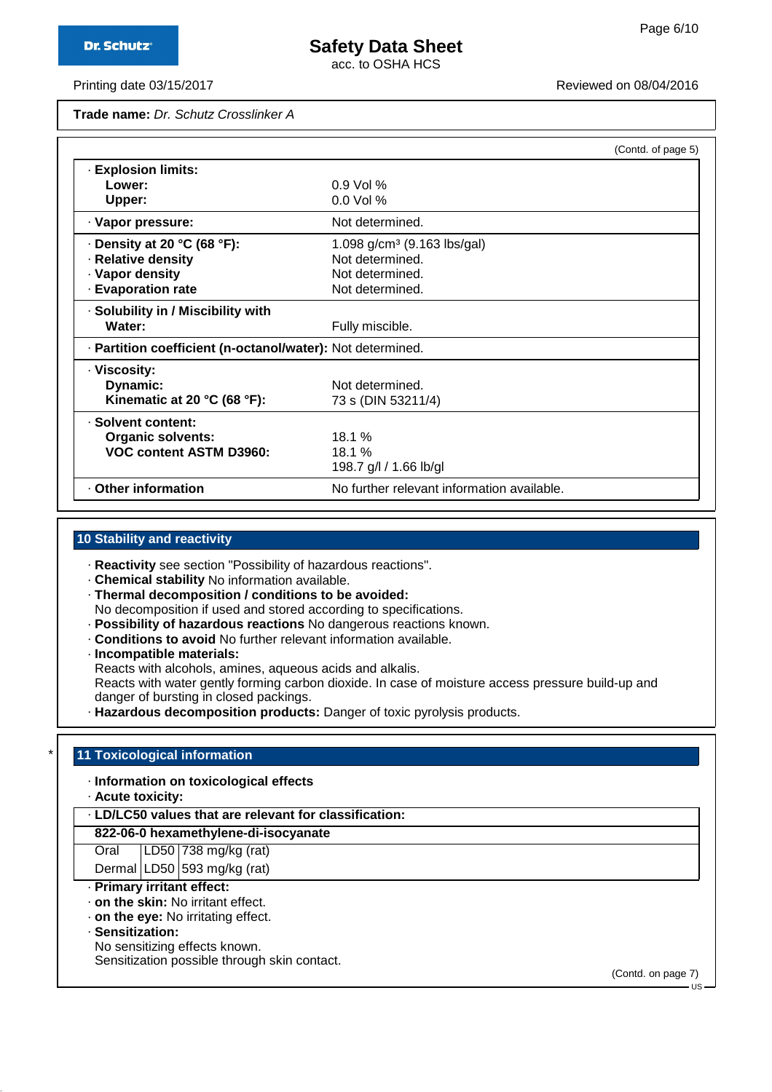acc. to OSHA HCS

Printing date 03/15/2017 **Printing date 03/15/2017** Reviewed on 08/04/2016

**Trade name:** Dr. Schutz Crosslinker A

|                                                            |                                            | (Contd. of page 5) |
|------------------------------------------------------------|--------------------------------------------|--------------------|
| <b>Explosion limits:</b>                                   |                                            |                    |
| Lower:                                                     | $0.9$ Vol %                                |                    |
| Upper:                                                     | $0.0$ Vol %                                |                    |
| · Vapor pressure:                                          | Not determined.                            |                    |
| $\cdot$ Density at 20 °C (68 °F):                          | 1.098 $g/cm^3$ (9.163 lbs/gal)             |                    |
| · Relative density                                         | Not determined.                            |                    |
| · Vapor density                                            | Not determined.                            |                    |
| <b>Evaporation rate</b>                                    | Not determined.                            |                    |
| · Solubility in / Miscibility with                         |                                            |                    |
| Water:                                                     | Fully miscible.                            |                    |
| · Partition coefficient (n-octanol/water): Not determined. |                                            |                    |
| · Viscosity:                                               |                                            |                    |
| Dynamic:                                                   | Not determined.                            |                    |
| Kinematic at 20 °C (68 °F):                                | 73 s (DIN 53211/4)                         |                    |
| · Solvent content:                                         |                                            |                    |
| <b>Organic solvents:</b>                                   | 18.1%                                      |                    |
| <b>VOC content ASTM D3960:</b>                             | 18.1 %                                     |                    |
|                                                            | 198.7 g/l / 1.66 lb/gl                     |                    |
| Other information                                          | No further relevant information available. |                    |

## **10 Stability and reactivity**

· **Reactivity** see section "Possibility of hazardous reactions".

· **Chemical stability** No information available.

· **Thermal decomposition / conditions to be avoided:** No decomposition if used and stored according to specifications.

· **Possibility of hazardous reactions** No dangerous reactions known.

· **Conditions to avoid** No further relevant information available.

· **Incompatible materials:**

Reacts with alcohols, amines, aqueous acids and alkalis.

Reacts with water gently forming carbon dioxide. In case of moisture access pressure build-up and danger of bursting in closed packings.

· **Hazardous decomposition products:** Danger of toxic pyrolysis products.

#### **11 Toxicological information**

· **Information on toxicological effects**

· **Acute toxicity:**

· **LD/LC50 values that are relevant for classification:**

#### **822-06-0 hexamethylene-di-isocyanate**

Oral LD50 738 mg/kg (rat)

Dermal  $LD50$  593 mg/kg (rat)

· **Primary irritant effect:**

· **on the skin:** No irritant effect.

· **on the eye:** No irritating effect.

· **Sensitization:**

No sensitizing effects known.

Sensitization possible through skin contact.

(Contd. on page 7)

US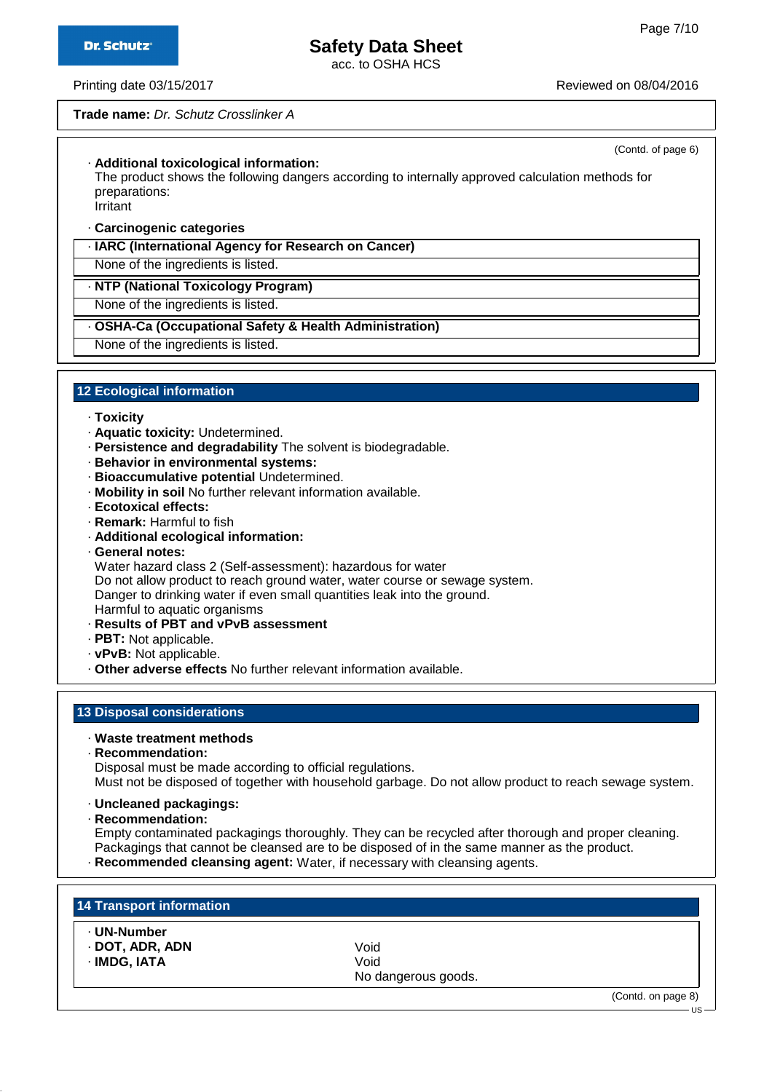(Contd. of page 6)

US

# **Safety Data Sheet**

acc. to OSHA HCS

Printing date 03/15/2017 Reviewed on 08/04/2016

#### **Trade name:** Dr. Schutz Crosslinker A

· **Additional toxicological information:**

The product shows the following dangers according to internally approved calculation methods for preparations:

Irritant

· **Carcinogenic categories**

· **IARC (International Agency for Research on Cancer)**

None of the ingredients is listed.

· **NTP (National Toxicology Program)**

None of the ingredients is listed.

#### · **OSHA-Ca (Occupational Safety & Health Administration)**

None of the ingredients is listed.

#### **12 Ecological information**

- · **Toxicity**
- · **Aquatic toxicity:** Undetermined.
- · **Persistence and degradability** The solvent is biodegradable.
- · **Behavior in environmental systems:**
- · **Bioaccumulative potential** Undetermined.
- · **Mobility in soil** No further relevant information available.
- · **Ecotoxical effects:**
- · **Remark:** Harmful to fish
- · **Additional ecological information:**
- · **General notes:**

Water hazard class 2 (Self-assessment): hazardous for water

Do not allow product to reach ground water, water course or sewage system.

Danger to drinking water if even small quantities leak into the ground.

- Harmful to aquatic organisms
- · **Results of PBT and vPvB assessment**
- · **PBT:** Not applicable.
- · **vPvB:** Not applicable.
- · **Other adverse effects** No further relevant information available.

#### **13 Disposal considerations**

- · **Waste treatment methods**
- · **Recommendation:**

Disposal must be made according to official regulations. Must not be disposed of together with household garbage. Do not allow product to reach sewage system.

- · **Uncleaned packagings:**
- · **Recommendation:**

Empty contaminated packagings thoroughly. They can be recycled after thorough and proper cleaning. Packagings that cannot be cleansed are to be disposed of in the same manner as the product.

· **Recommended cleansing agent:** Water, if necessary with cleansing agents.

| 14 Transport information                       |                                     |                    |
|------------------------------------------------|-------------------------------------|--------------------|
| · UN-Number<br>· DOT, ADR, ADN<br>· IMDG, IATA | Void<br>Void<br>No dangerous goods. |                    |
|                                                |                                     | (Contd. on page 8) |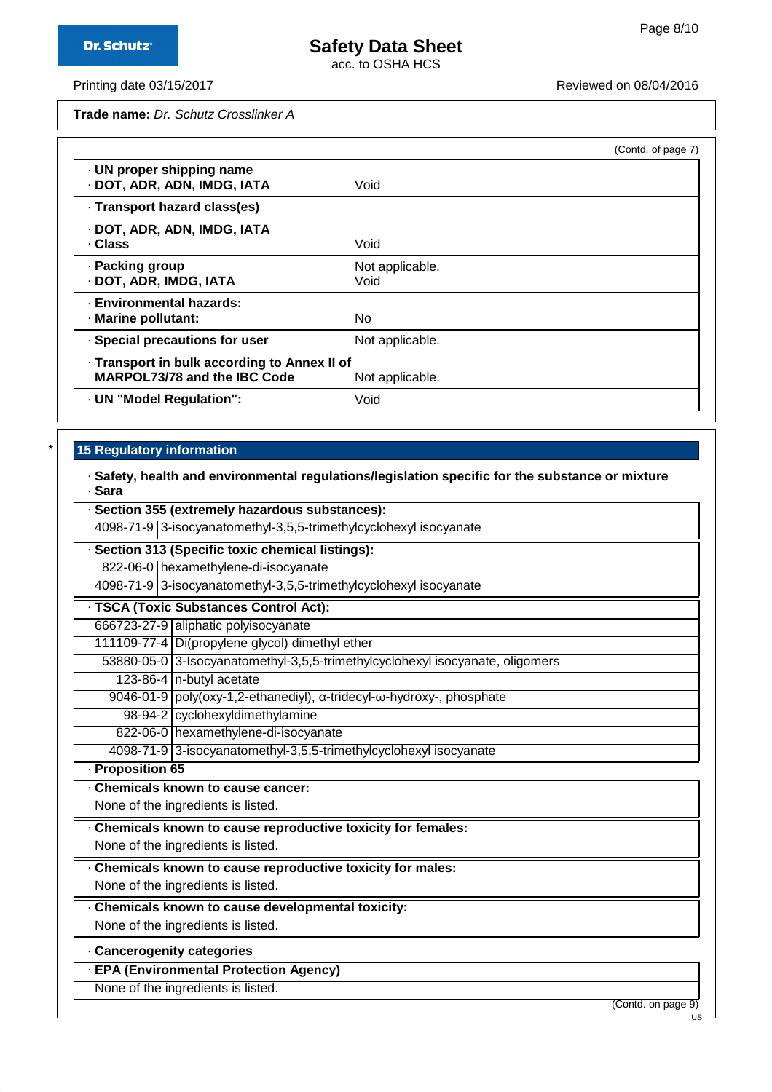acc. to OSHA HCS

Printing date 03/15/2017 **Printing date 03/15/2017** Reviewed on 08/04/2016

**Trade name:** Dr. Schutz Crosslinker A

|                                                                                     |                         | (Contd. of page 7) |
|-------------------------------------------------------------------------------------|-------------------------|--------------------|
| · UN proper shipping name<br>· DOT, ADR, ADN, IMDG, IATA                            | Void                    |                    |
| · Transport hazard class(es)                                                        |                         |                    |
| · DOT, ADR, ADN, IMDG, IATA<br>· Class                                              | Void                    |                    |
| · Packing group<br>· DOT, ADR, IMDG, IATA                                           | Not applicable.<br>Void |                    |
| · Environmental hazards:<br>· Marine pollutant:                                     | No                      |                    |
| · Special precautions for user                                                      | Not applicable.         |                    |
| - Transport in bulk according to Annex II of<br><b>MARPOL73/78 and the IBC Code</b> | Not applicable.         |                    |
| · UN "Model Regulation":                                                            | Void                    |                    |

# **15 Regulatory information**

#### · **Safety, health and environmental regulations/legislation specific for the substance or mixture** · **Sara**

|                          | · Section 355 (extremely hazardous substances):                               |     |  |  |
|--------------------------|-------------------------------------------------------------------------------|-----|--|--|
|                          | 4098-71-9 3-isocyanatomethyl-3,5,5-trimethylcyclohexyl isocyanate             |     |  |  |
|                          | · Section 313 (Specific toxic chemical listings):                             |     |  |  |
|                          | 822-06-0 hexamethylene-di-isocyanate                                          |     |  |  |
|                          | 4098-71-9 3-isocyanatomethyl-3,5,5-trimethylcyclohexyl isocyanate             |     |  |  |
|                          | · TSCA (Toxic Substances Control Act):                                        |     |  |  |
|                          | 666723-27-9 aliphatic polyisocyanate                                          |     |  |  |
|                          | 111109-77-4 Di(propylene glycol) dimethyl ether                               |     |  |  |
|                          | 53880-05-0 3-Isocyanatomethyl-3,5,5-trimethylcyclohexyl isocyanate, oligomers |     |  |  |
|                          | 123-86-4 n-butyl acetate                                                      |     |  |  |
|                          | 9046-01-9 poly(oxy-1,2-ethanediyl), α-tridecyl-ω-hydroxy-, phosphate          |     |  |  |
|                          | 98-94-2 cyclohexyldimethylamine                                               |     |  |  |
|                          | 822-06-0 hexamethylene-di-isocyanate                                          |     |  |  |
|                          | 4098-71-9 3-isocyanatomethyl-3,5,5-trimethylcyclohexyl isocyanate             |     |  |  |
| · Proposition 65         |                                                                               |     |  |  |
|                          | Chemicals known to cause cancer:                                              |     |  |  |
|                          | None of the ingredients is listed.                                            |     |  |  |
|                          | Chemicals known to cause reproductive toxicity for females:                   |     |  |  |
|                          | None of the ingredients is listed.                                            |     |  |  |
|                          | Chemicals known to cause reproductive toxicity for males:                     |     |  |  |
|                          | None of the ingredients is listed.                                            |     |  |  |
|                          | Chemicals known to cause developmental toxicity:                              |     |  |  |
|                          | None of the ingredients is listed.                                            |     |  |  |
| Cancerogenity categories |                                                                               |     |  |  |
|                          | · EPA (Environmental Protection Agency)                                       |     |  |  |
|                          | None of the ingredients is listed.                                            |     |  |  |
|                          | (Contd. on page 9)                                                            | US- |  |  |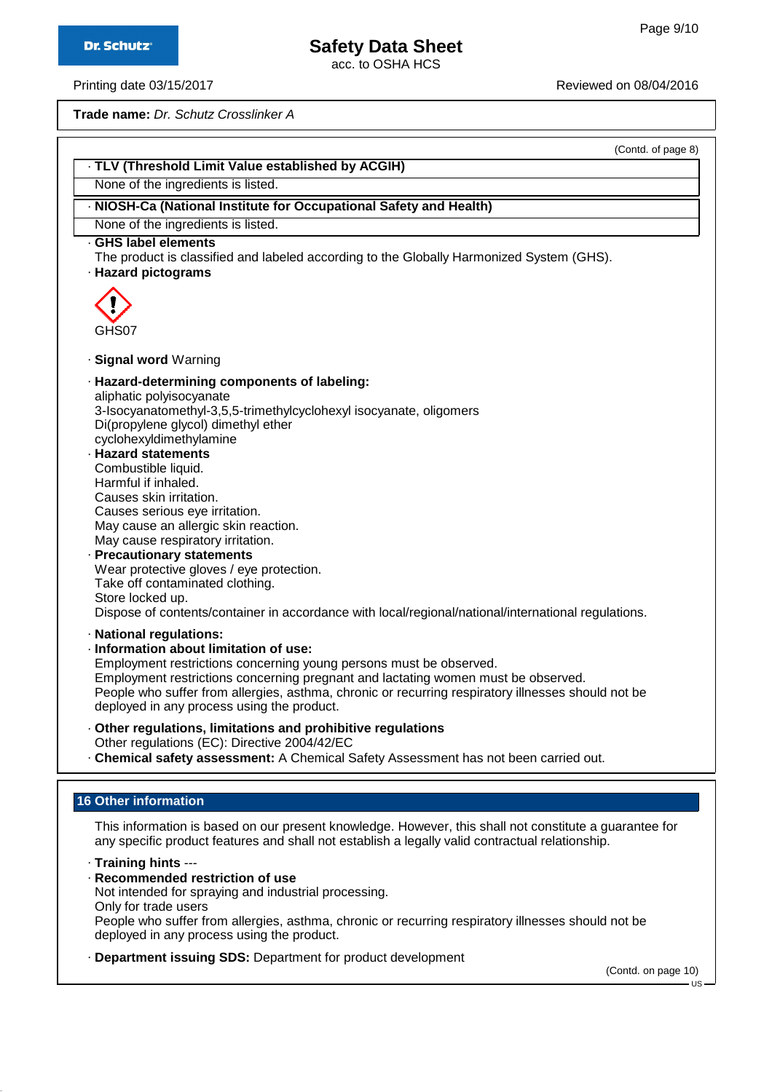acc. to OSHA HCS

Printing date 03/15/2017 **Printing date 03/15/2017** Reviewed on 08/04/2016

**Trade name:** Dr. Schutz Crosslinker A

(Contd. of page 8)

# · **TLV (Threshold Limit Value established by ACGIH)**

None of the ingredients is listed.

## · **NIOSH-Ca (National Institute for Occupational Safety and Health)**

None of the ingredients is listed.

## · **GHS label elements**

The product is classified and labeled according to the Globally Harmonized System (GHS).

· **Hazard pictograms**



#### · **Signal word** Warning

#### · **Hazard-determining components of labeling:** aliphatic polyisocyanate 3-Isocyanatomethyl-3,5,5-trimethylcyclohexyl isocyanate, oligomers Di(propylene glycol) dimethyl ether cyclohexyldimethylamine

· **Hazard statements** Combustible liquid. Harmful if inhaled. Causes skin irritation. Causes serious eye irritation. May cause an allergic skin reaction. May cause respiratory irritation.

#### · **Precautionary statements** Wear protective gloves / eye protection. Take off contaminated clothing. Store locked up. Dispose of contents/container in accordance with local/regional/national/international regulations.

- · **National regulations:**
- · **Information about limitation of use:**

Employment restrictions concerning young persons must be observed. Employment restrictions concerning pregnant and lactating women must be observed. People who suffer from allergies, asthma, chronic or recurring respiratory illnesses should not be deployed in any process using the product.

- · **Other regulations, limitations and prohibitive regulations** Other regulations (EC): Directive 2004/42/EC
- · **Chemical safety assessment:** A Chemical Safety Assessment has not been carried out.

# **16 Other information**

This information is based on our present knowledge. However, this shall not constitute a guarantee for any specific product features and shall not establish a legally valid contractual relationship.

· **Training hints** ---

· **Recommended restriction of use**

Not intended for spraying and industrial processing. Only for trade users People who suffer from allergies, asthma, chronic or recurring respiratory illnesses should not be deployed in any process using the product.

· **Department issuing SDS:** Department for product development

(Contd. on page 10)

 $\overline{18}$